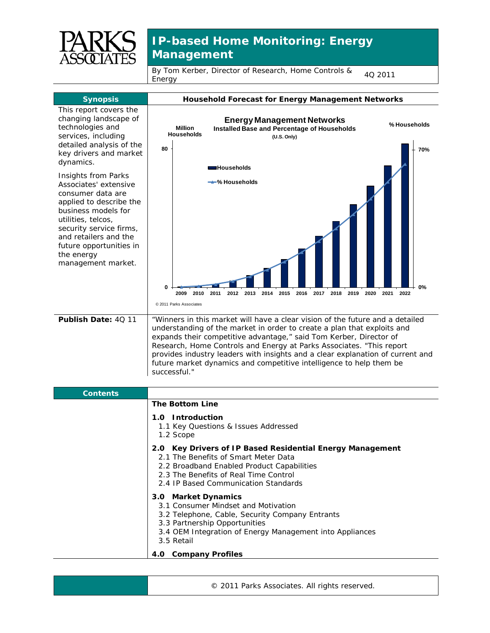

## **IP-based Home Monitoring: Energy Management**

By Tom Kerber, Director of Research, Home Controls & <sub>4Q</sub> <sub>2011</sub><br>Energy



3.2 Telephone, Cable, Security Company Entrants

- 3.3 Partnership Opportunities
- 3.4 OEM Integration of Energy Management into Appliances
- 3.5 Retail

## **4.0 Company Profiles**

© 2011 Parks Associates. All rights reserved.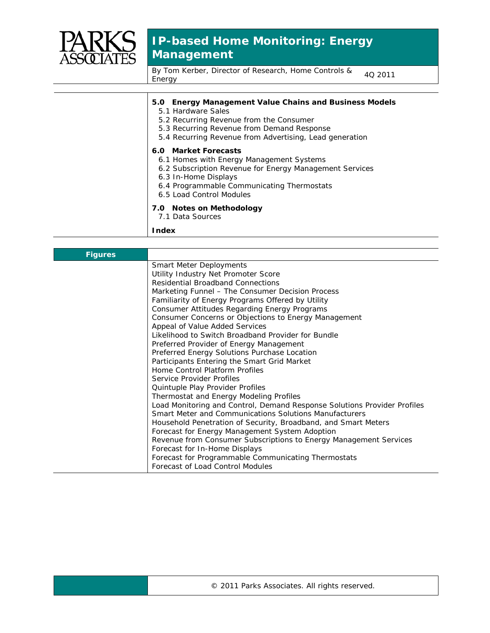

## **IP-based Home Monitoring: Energy Management**

By Tom Kerber, Director of Research, Home Controls & <sub>4Q</sub> <sub>2011</sub><br>Energy

| <b>Energy Management Value Chains and Business Models</b><br>5.0<br>5.1 Hardware Sales<br>5.2 Recurring Revenue from the Consumer<br>5.3 Recurring Revenue from Demand Response<br>5.4 Recurring Revenue from Advertising, Lead generation |
|--------------------------------------------------------------------------------------------------------------------------------------------------------------------------------------------------------------------------------------------|
| 6.0 Market Forecasts<br>6.1 Homes with Energy Management Systems<br>6.2 Subscription Revenue for Energy Management Services<br>6.3 In-Home Displays<br>6.4 Programmable Communicating Thermostats<br>6.5 Load Control Modules              |
| 7.0 Notes on Methodology<br>7.1 Data Sources                                                                                                                                                                                               |
| <b>Index</b>                                                                                                                                                                                                                               |

| <b>Figures</b> |                                                                          |
|----------------|--------------------------------------------------------------------------|
|                | <b>Smart Meter Deployments</b>                                           |
|                | Utility Industry Net Promoter Score                                      |
|                | <b>Residential Broadband Connections</b>                                 |
|                | Marketing Funnel - The Consumer Decision Process                         |
|                | Familiarity of Energy Programs Offered by Utility                        |
|                | Consumer Attitudes Regarding Energy Programs                             |
|                | Consumer Concerns or Objections to Energy Management                     |
|                | Appeal of Value Added Services                                           |
|                | Likelihood to Switch Broadband Provider for Bundle                       |
|                | Preferred Provider of Energy Management                                  |
|                | Preferred Energy Solutions Purchase Location                             |
|                | Participants Entering the Smart Grid Market                              |
|                | Home Control Platform Profiles                                           |
|                | Service Provider Profiles                                                |
|                | Quintuple Play Provider Profiles                                         |
|                | Thermostat and Energy Modeling Profiles                                  |
|                | Load Monitoring and Control, Demand Response Solutions Provider Profiles |
|                | Smart Meter and Communications Solutions Manufacturers                   |
|                | Household Penetration of Security, Broadband, and Smart Meters           |
|                | Forecast for Energy Management System Adoption                           |
|                | Revenue from Consumer Subscriptions to Energy Management Services        |
|                | Forecast for In-Home Displays                                            |
|                | Forecast for Programmable Communicating Thermostats                      |
|                | Forecast of Load Control Modules                                         |